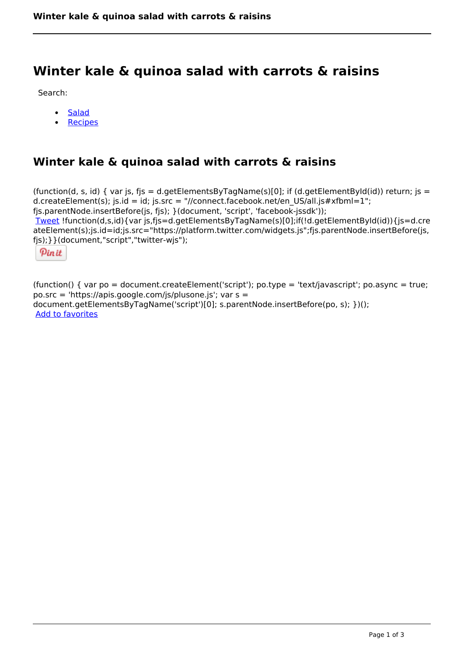# **Winter kale & quinoa salad with carrots & raisins**

Search:

- **[Salad](https://www.naturalhealthmag.com.au/nourish/salads)**  $\bullet$
- [Recipes](https://www.naturalhealthmag.com.au/nourish/recipes)

## **Winter kale & quinoa salad with carrots & raisins**

(function(d, s, id) { var js, fjs = d.getElementsByTagName(s)[0]; if (d.getElementById(id)) return; js = d.createElement(s); js.id = id; js.src = "//connect.facebook.net/en\_US/all.js#xfbml=1"; fjs.parentNode.insertBefore(js, fjs); }(document, 'script', 'facebook-jssdk')); [Tweet](https://twitter.com/share) !function(d,s,id){var js,fjs=d.getElementsByTagName(s)[0];if(!d.getElementById(id)){js=d.cre ateElement(s);js.id=id;js.src="https://platform.twitter.com/widgets.js";fjs.parentNode.insertBefore(js, fjs);}}(document,"script","twitter-wjs");

Pinit

(function() { var po = document.createElement('script'); po.type = 'text/javascript'; po.async = true; po.src = 'https://apis.google.com/js/plusone.js'; var s = document.getElementsByTagName('script')[0]; s.parentNode.insertBefore(po, s); })(); Add to favorites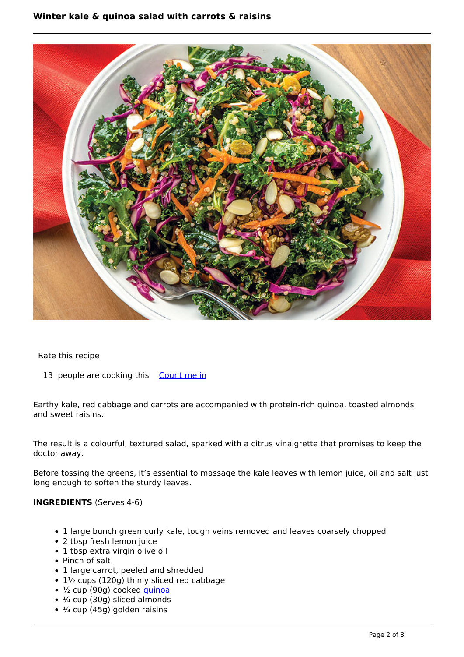#### **Winter kale & 
quinoa salad with carrots & raisins**



Rate this recipe

13 people are cooking this [Count me in](https://www.naturalhealthmag.com.au/flag/flag/favorites/1163?destination=printpdf%2F1163&token=1c6d16f2c7feafe77195f5f2db816a26)

Earthy kale, red cabbage and carrots are accompanied with protein-rich quinoa, toasted almonds and sweet raisins.

The result is a colourful, textured salad, sparked with a citrus vinaigrette that promises to keep the doctor away.

Before tossing the greens, it's essential to massage the kale leaves with lemon juice, oil and salt just long enough to soften the sturdy leaves.

#### **INGREDIENTS** (Serves 4-6)

- 1 large bunch green curly kale, tough veins removed and leaves coarsely chopped
- 2 tbsp fresh lemon juice
- 1 tbsp extra virgin olive oil
- Pinch of salt
- 1 large carrot, peeled and shredded
- 1½ cups (120g) thinly sliced red cabbage
- ½ cup (90g) cooked [quinoa](http://www.naturalhealthmag.com.au/search/node?theme=nourish&keys=quinoa)
- $\cdot$   $\frac{1}{4}$  cup (30g) sliced almonds
- $\cdot$   $\frac{1}{4}$  cup (45g) golden raisins